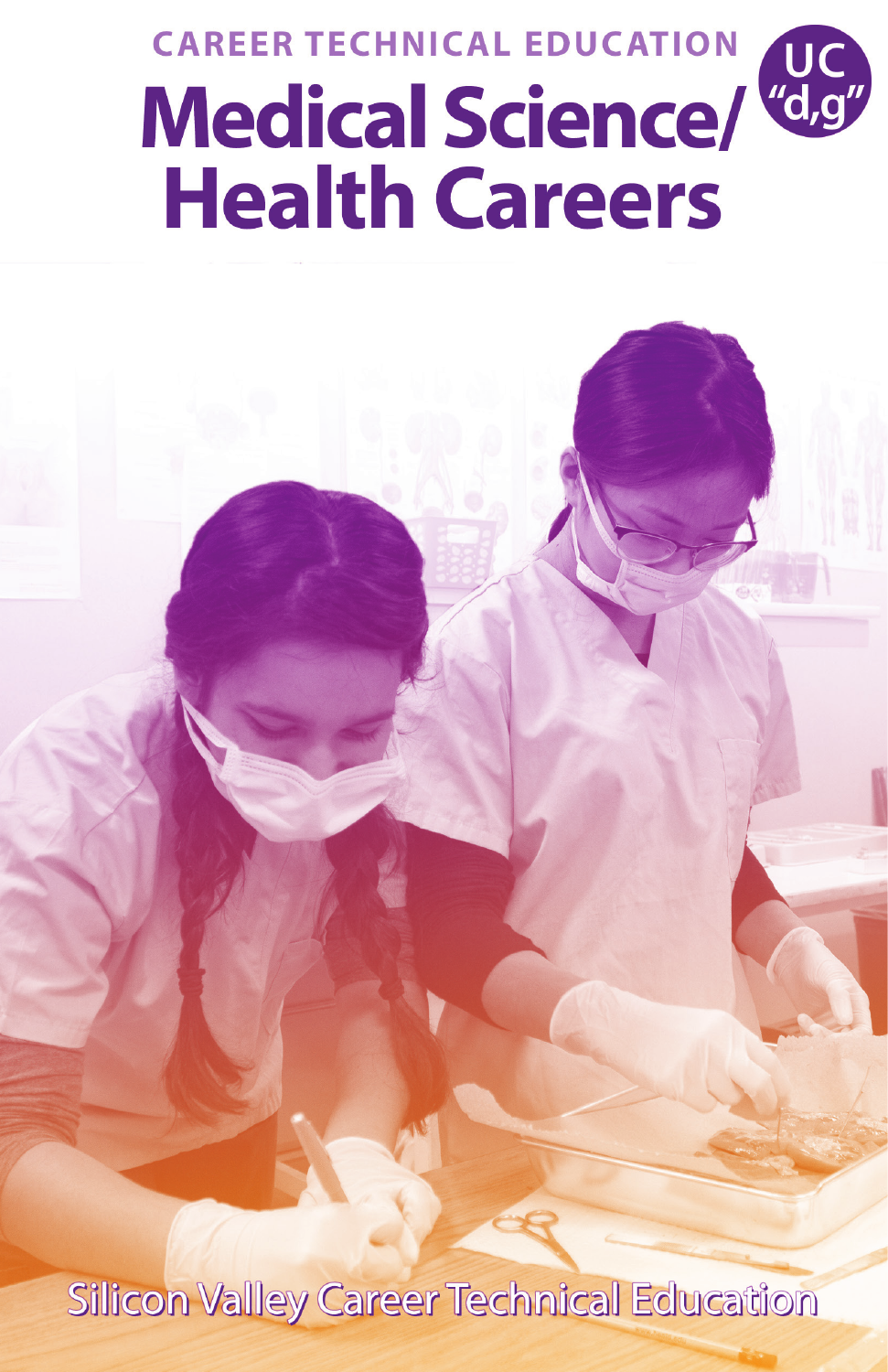## **CAREER TECHNICAL EDUCATION Medical Science/ Health Careers**

Silicon Valley Career Technical Education